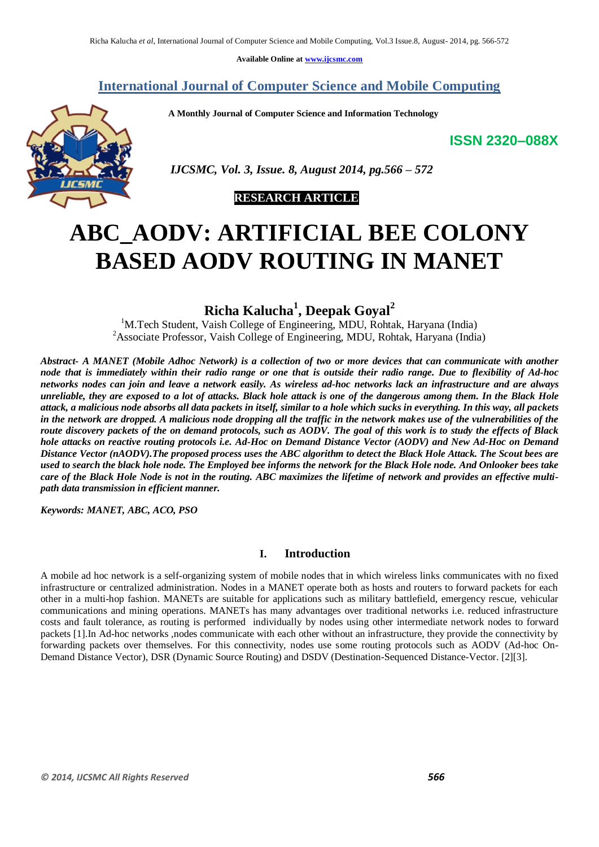**Available Online at [www.ijcsmc.com](http://www.ijcsmc.com/)**

**International Journal of Computer Science and Mobile Computing**

 **A Monthly Journal of Computer Science and Information Technology**

**ISSN 2320–088X**



 *IJCSMC, Vol. 3, Issue. 8, August 2014, pg.566 – 572*

# **RESEARCH ARTICLE**

# **ABC\_AODV: ARTIFICIAL BEE COLONY BASED AODV ROUTING IN MANET**

# **Richa Kalucha<sup>1</sup> , Deepak Goyal<sup>2</sup>**

<sup>1</sup>M.Tech Student, Vaish College of Engineering, MDU, Rohtak, Haryana (India) <sup>2</sup>Associate Professor, Vaish College of Engineering, MDU, Rohtak, Haryana (India)

*Abstract- A MANET (Mobile Adhoc Network) is a collection of two or more devices that can communicate with another node that is immediately within their radio range or one that is outside their radio range. Due to flexibility of Ad-hoc networks nodes can join and leave a network easily. As wireless ad-hoc networks lack an infrastructure and are always unreliable, they are exposed to a lot of attacks. Black hole attack is one of the dangerous among them. In the Black Hole attack, a malicious node absorbs all data packets in itself, similar to a hole which sucks in everything. In this way, all packets*  in the network are dropped. A malicious node dropping all the traffic in the network makes use of the vulnerabilities of the *route discovery packets of the on demand protocols, such as AODV. The goal of this work is to study the effects of Black hole attacks on reactive routing protocols i.e. Ad-Hoc on Demand Distance Vector (AODV) and New Ad-Hoc on Demand Distance Vector (nAODV).The proposed process uses the ABC algorithm to detect the Black Hole Attack. The Scout bees are used to search the black hole node. The Employed bee informs the network for the Black Hole node. And Onlooker bees take care of the Black Hole Node is not in the routing. ABC maximizes the lifetime of network and provides an effective multipath data transmission in efficient manner.*

*Keywords: MANET, ABC, ACO, PSO*

# **I. Introduction**

A mobile ad hoc network is a self-organizing system of mobile nodes that in which wireless links communicates with no fixed infrastructure or centralized administration. Nodes in a MANET operate both as hosts and routers to forward packets for each other in a multi-hop fashion. MANETs are suitable for applications such as military battlefield, emergency rescue, vehicular communications and mining operations. MANETs has many advantages over traditional networks i.e. reduced infrastructure costs and fault tolerance, as routing is performed individually by nodes using other intermediate network nodes to forward packets [1].In Ad-hoc networks ,nodes communicate with each other without an infrastructure, they provide the connectivity by forwarding packets over themselves. For this connectivity, nodes use some routing protocols such as AODV (Ad-hoc On-Demand Distance Vector), DSR (Dynamic Source Routing) and DSDV (Destination-Sequenced Distance-Vector. [2][3].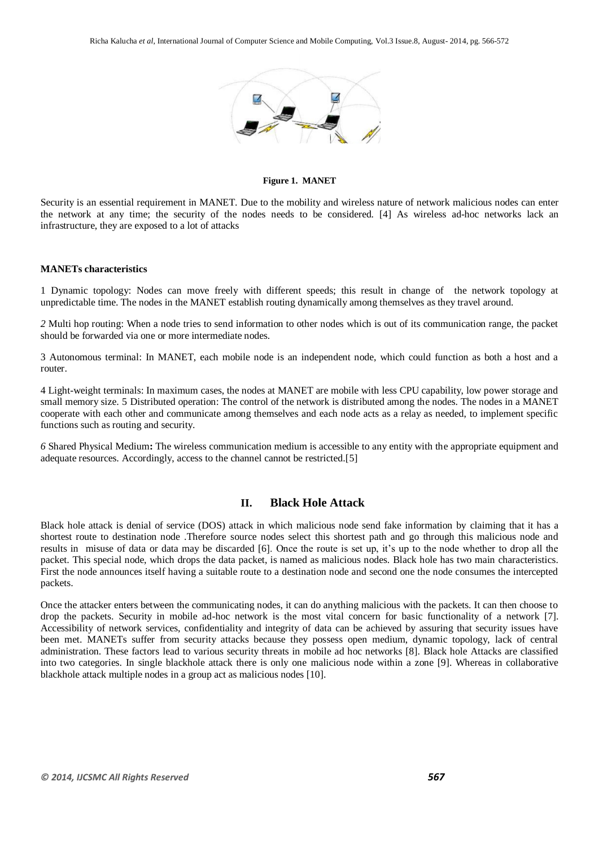

**Figure 1. MANET**

Security is an essential requirement in MANET. Due to the mobility and wireless nature of network malicious nodes can enter the network at any time; the security of the nodes needs to be considered. [4] As wireless ad-hoc networks lack an infrastructure, they are exposed to a lot of attacks

#### **MANETs characteristics**

1 Dynamic topology: Nodes can move freely with different speeds; this result in change of the network topology at unpredictable time. The nodes in the MANET establish routing dynamically among themselves as they travel around.

*2* Multi hop routing: When a node tries to send information to other nodes which is out of its communication range, the packet should be forwarded via one or more intermediate nodes.

3 Autonomous terminal: In MANET, each mobile node is an independent node, which could function as both a host and a router.

4 Light-weight terminals: In maximum cases, the nodes at MANET are mobile with less CPU capability, low power storage and small memory size. 5 Distributed operation: The control of the network is distributed among the nodes. The nodes in a MANET cooperate with each other and communicate among themselves and each node acts as a relay as needed, to implement specific functions such as routing and security.

*6* Shared Physical Medium**:** The wireless communication medium is accessible to any entity with the appropriate equipment and adequate resources. Accordingly, access to the channel cannot be restricted.[5]

# **II. Black Hole Attack**

Black hole attack is denial of service (DOS) attack in which malicious node send fake information by claiming that it has a shortest route to destination node .Therefore source nodes select this shortest path and go through this malicious node and results in misuse of data or data may be discarded [6]. Once the route is set up, it's up to the node whether to drop all the packet. This special node, which drops the data packet, is named as malicious nodes. Black hole has two main characteristics. First the node announces itself having a suitable route to a destination node and second one the node consumes the intercepted packets.

Once the attacker enters between the communicating nodes, it can do anything malicious with the packets. It can then choose to drop the packets. Security in mobile ad-hoc network is the most vital concern for basic functionality of a network [7]. Accessibility of network services, confidentiality and integrity of data can be achieved by assuring that security issues have been met. MANETs suffer from security attacks because they possess open medium, dynamic topology, lack of central administration. These factors lead to various security threats in mobile ad hoc networks [8]. Black hole Attacks are classified into two categories. In single blackhole attack there is only one malicious node within a zone [9]. Whereas in collaborative blackhole attack multiple nodes in a group act as malicious nodes [10].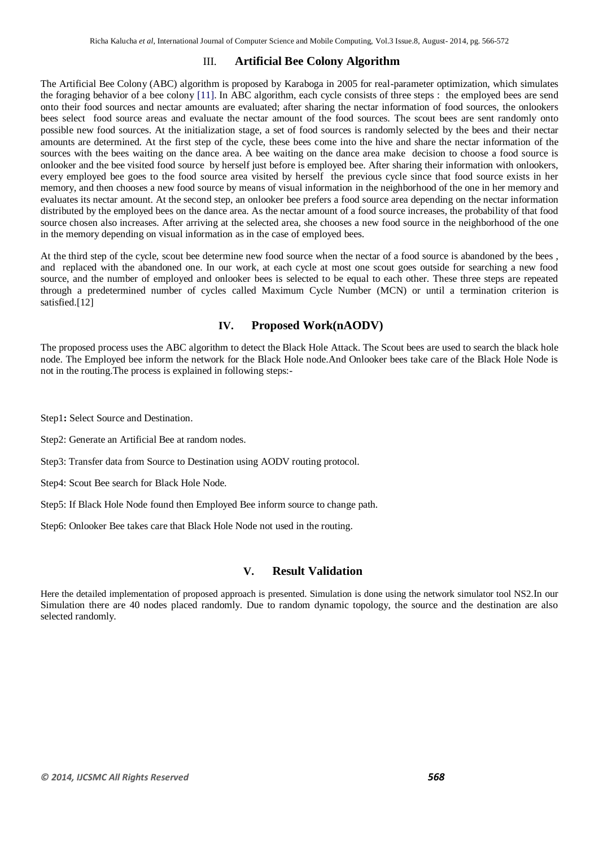### III. **Artificial Bee Colony Algorithm**

The Artificial Bee Colony (ABC) algorithm is proposed by Karaboga in 2005 for real-parameter optimization, which simulates the foraging behavior of a bee colony [11]. In ABC algorithm, each cycle consists of three steps : the employed bees are send onto their food sources and nectar amounts are evaluated; after sharing the nectar information of food sources, the onlookers bees select food source areas and evaluate the nectar amount of the food sources. The scout bees are sent randomly onto possible new food sources. At the initialization stage, a set of food sources is randomly selected by the bees and their nectar amounts are determined. At the first step of the cycle, these bees come into the hive and share the nectar information of the sources with the bees waiting on the dance area. A bee waiting on the dance area make decision to choose a food source is onlooker and the bee visited food source by herself just before is employed bee. After sharing their information with onlookers, every employed bee goes to the food source area visited by herself the previous cycle since that food source exists in her memory, and then chooses a new food source by means of visual information in the neighborhood of the one in her memory and evaluates its nectar amount. At the second step, an onlooker bee prefers a food source area depending on the nectar information distributed by the employed bees on the dance area. As the nectar amount of a food source increases, the probability of that food source chosen also increases. After arriving at the selected area, she chooses a new food source in the neighborhood of the one in the memory depending on visual information as in the case of employed bees.

At the third step of the cycle, scout bee determine new food source when the nectar of a food source is abandoned by the bees , and replaced with the abandoned one. In our work, at each cycle at most one scout goes outside for searching a new food source, and the number of employed and onlooker bees is selected to be equal to each other. These three steps are repeated through a predetermined number of cycles called Maximum Cycle Number (MCN) or until a termination criterion is satisfied.[12]

# **IV. Proposed Work(nAODV)**

The proposed process uses the ABC algorithm to detect the Black Hole Attack. The Scout bees are used to search the black hole node. The Employed bee inform the network for the Black Hole node.And Onlooker bees take care of the Black Hole Node is not in the routing.The process is explained in following steps:-

Step1**:** Select Source and Destination.

Step2: Generate an Artificial Bee at random nodes.

Step3: Transfer data from Source to Destination using AODV routing protocol.

Step4: Scout Bee search for Black Hole Node.

Step5: If Black Hole Node found then Employed Bee inform source to change path.

Step6: Onlooker Bee takes care that Black Hole Node not used in the routing.

#### **V. Result Validation**

Here the detailed implementation of proposed approach is presented. Simulation is done using the network simulator tool NS2.In our Simulation there are 40 nodes placed randomly. Due to random dynamic topology, the source and the destination are also selected randomly.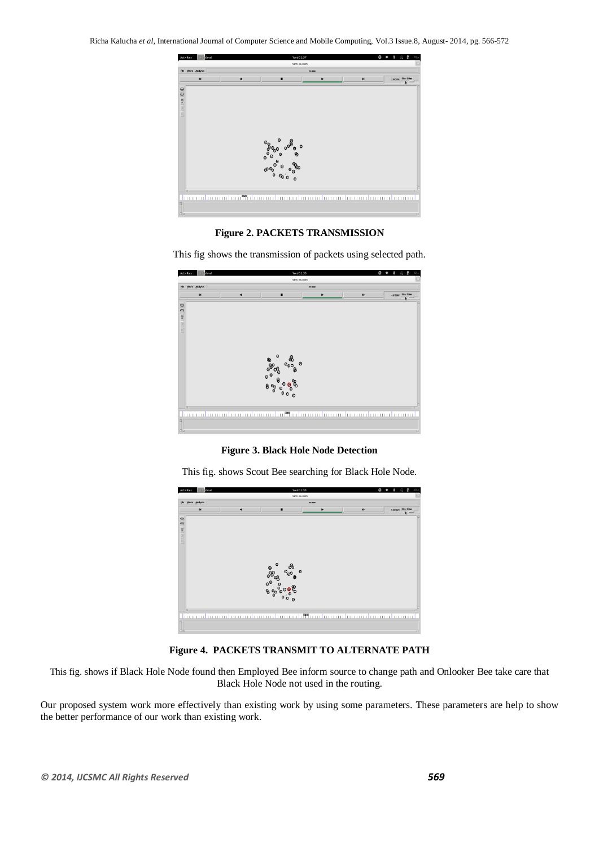

**Figure 2. PACKETS TRANSMISSION**

This fig shows the transmission of packets using selected path.



**Figure 3. Black Hole Node Detection**

This fig. shows Scout Bee searching for Black Hole Node.



**Figure 4. PACKETS TRANSMIT TO ALTERNATE PATH**

This fig. shows if Black Hole Node found then Employed Bee inform source to change path and Onlooker Bee take care that Black Hole Node not used in the routing.

Our proposed system work more effectively than existing work by using some parameters. These parameters are help to show the better performance of our work than existing work.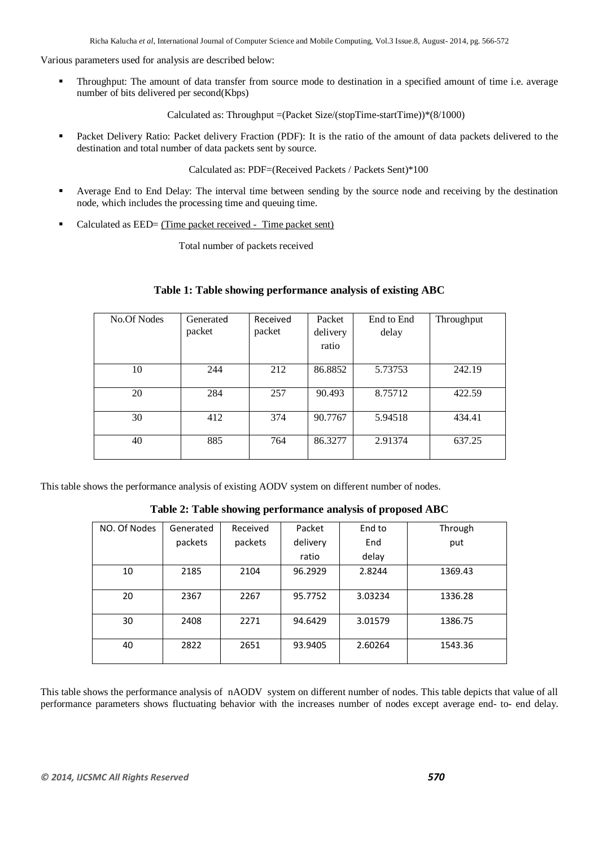Various parameters used for analysis are described below:

 Throughput: The amount of data transfer from source mode to destination in a specified amount of time i.e. average number of bits delivered per second(Kbps)

Calculated as: Throughput =(Packet Size/(stopTime-startTime))\*(8/1000)

**Packet Delivery Ratio: Packet delivery Fraction (PDF):** It is the ratio of the amount of data packets delivered to the destination and total number of data packets sent by source.

Calculated as: PDF=(Received Packets / Packets Sent)\*100

- Average End to End Delay: The interval time between sending by the source node and receiving by the destination node, which includes the processing time and queuing time.
- Calculated as EED= (Time packet received Time packet sent)

Total number of packets received

### **Table 1: Table showing performance analysis of existing ABC**

| No.Of Nodes | Generated | Received | Packet   | End to End | Throughput |
|-------------|-----------|----------|----------|------------|------------|
|             | packet    | packet   | delivery | delay      |            |
|             |           |          | ratio    |            |            |
|             |           |          |          |            |            |
| 10          | 244       | 212      | 86.8852  | 5.73753    | 242.19     |
|             |           |          |          |            |            |
| 20          | 284       | 257      | 90.493   | 8.75712    | 422.59     |
|             |           |          |          |            |            |
| 30          | 412       | 374      | 90.7767  | 5.94518    | 434.41     |
|             |           |          |          |            |            |
| 40          | 885       | 764      | 86.3277  | 2.91374    | 637.25     |
|             |           |          |          |            |            |

This table shows the performance analysis of existing AODV system on different number of nodes.

**Table 2: Table showing performance analysis of proposed ABC**

| NO. Of Nodes | Generated | Received | Packet   | End to  | Through |
|--------------|-----------|----------|----------|---------|---------|
|              | packets   | packets  | delivery | End     | put     |
|              |           |          | ratio    | delay   |         |
| 10           | 2185      | 2104     | 96.2929  | 2.8244  | 1369.43 |
| 20           | 2367      | 2267     | 95.7752  | 3.03234 | 1336.28 |
| 30           | 2408      | 2271     | 94.6429  | 3.01579 | 1386.75 |
| 40           | 2822      | 2651     | 93.9405  | 2.60264 | 1543.36 |

This table shows the performance analysis of nAODV system on different number of nodes. This table depicts that value of all performance parameters shows fluctuating behavior with the increases number of nodes except average end- to- end delay.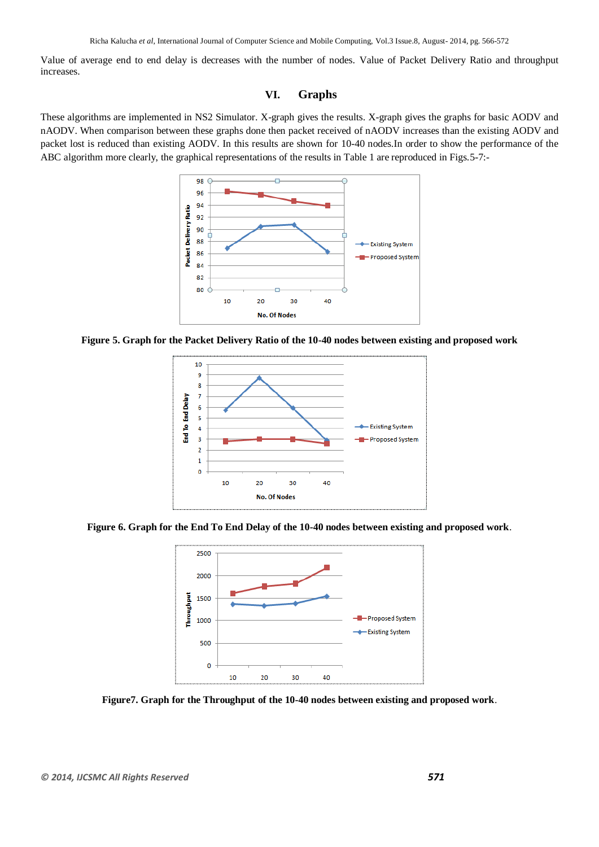Value of average end to end delay is decreases with the number of nodes. Value of Packet Delivery Ratio and throughput increases.

# **VI. Graphs**

These algorithms are implemented in NS2 Simulator. X-graph gives the results. X-graph gives the graphs for basic AODV and nAODV. When comparison between these graphs done then packet received of nAODV increases than the existing AODV and packet lost is reduced than existing AODV. In this results are shown for 10-40 nodes.In order to show the performance of the ABC algorithm more clearly, the graphical representations of the results in Table 1 are reproduced in Figs.5-7:-



**Figure 5. Graph for the Packet Delivery Ratio of the 10-40 nodes between existing and proposed work**







**Figure7. Graph for the Throughput of the 10-40 nodes between existing and proposed work**.